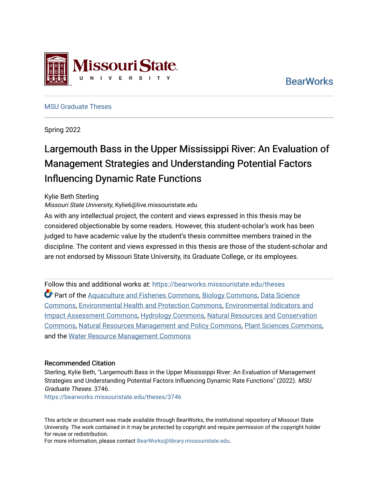

E **S** 

[MSU Graduate Theses](https://bearworks.missouristate.edu/theses) 

Spring 2022

# Largemouth Bass in the Upper Mississippi River: An Evaluation of Management Strategies and Understanding Potential Factors Influencing Dynamic Rate Functions

# Kylie Beth Sterling

Missouri State University, Kylie6@live.missouristate.edu

issouri State

As with any intellectual project, the content and views expressed in this thesis may be considered objectionable by some readers. However, this student-scholar's work has been judged to have academic value by the student's thesis committee members trained in the discipline. The content and views expressed in this thesis are those of the student-scholar and are not endorsed by Missouri State University, its Graduate College, or its employees.

Follow this and additional works at: [https://bearworks.missouristate.edu/theses](https://bearworks.missouristate.edu/theses?utm_source=bearworks.missouristate.edu%2Ftheses%2F3746&utm_medium=PDF&utm_campaign=PDFCoverPages)  Part of the [Aquaculture and Fisheries Commons,](https://network.bepress.com/hgg/discipline/78?utm_source=bearworks.missouristate.edu%2Ftheses%2F3746&utm_medium=PDF&utm_campaign=PDFCoverPages) [Biology Commons](https://network.bepress.com/hgg/discipline/41?utm_source=bearworks.missouristate.edu%2Ftheses%2F3746&utm_medium=PDF&utm_campaign=PDFCoverPages), [Data Science](https://network.bepress.com/hgg/discipline/1429?utm_source=bearworks.missouristate.edu%2Ftheses%2F3746&utm_medium=PDF&utm_campaign=PDFCoverPages) [Commons,](https://network.bepress.com/hgg/discipline/1429?utm_source=bearworks.missouristate.edu%2Ftheses%2F3746&utm_medium=PDF&utm_campaign=PDFCoverPages) [Environmental Health and Protection Commons](https://network.bepress.com/hgg/discipline/172?utm_source=bearworks.missouristate.edu%2Ftheses%2F3746&utm_medium=PDF&utm_campaign=PDFCoverPages), [Environmental Indicators and](https://network.bepress.com/hgg/discipline/1015?utm_source=bearworks.missouristate.edu%2Ftheses%2F3746&utm_medium=PDF&utm_campaign=PDFCoverPages)  [Impact Assessment Commons](https://network.bepress.com/hgg/discipline/1015?utm_source=bearworks.missouristate.edu%2Ftheses%2F3746&utm_medium=PDF&utm_campaign=PDFCoverPages), [Hydrology Commons,](https://network.bepress.com/hgg/discipline/1054?utm_source=bearworks.missouristate.edu%2Ftheses%2F3746&utm_medium=PDF&utm_campaign=PDFCoverPages) [Natural Resources and Conservation](https://network.bepress.com/hgg/discipline/168?utm_source=bearworks.missouristate.edu%2Ftheses%2F3746&utm_medium=PDF&utm_campaign=PDFCoverPages)  [Commons,](https://network.bepress.com/hgg/discipline/168?utm_source=bearworks.missouristate.edu%2Ftheses%2F3746&utm_medium=PDF&utm_campaign=PDFCoverPages) [Natural Resources Management and Policy Commons,](https://network.bepress.com/hgg/discipline/170?utm_source=bearworks.missouristate.edu%2Ftheses%2F3746&utm_medium=PDF&utm_campaign=PDFCoverPages) [Plant Sciences Commons,](https://network.bepress.com/hgg/discipline/102?utm_source=bearworks.missouristate.edu%2Ftheses%2F3746&utm_medium=PDF&utm_campaign=PDFCoverPages) and the [Water Resource Management Commons](https://network.bepress.com/hgg/discipline/1057?utm_source=bearworks.missouristate.edu%2Ftheses%2F3746&utm_medium=PDF&utm_campaign=PDFCoverPages)

# Recommended Citation

Sterling, Kylie Beth, "Largemouth Bass in the Upper Mississippi River: An Evaluation of Management Strategies and Understanding Potential Factors Influencing Dynamic Rate Functions" (2022). MSU Graduate Theses. 3746.

[https://bearworks.missouristate.edu/theses/3746](https://bearworks.missouristate.edu/theses/3746?utm_source=bearworks.missouristate.edu%2Ftheses%2F3746&utm_medium=PDF&utm_campaign=PDFCoverPages) 

This article or document was made available through BearWorks, the institutional repository of Missouri State University. The work contained in it may be protected by copyright and require permission of the copyright holder for reuse or redistribution.

For more information, please contact [BearWorks@library.missouristate.edu.](mailto:BearWorks@library.missouristate.edu)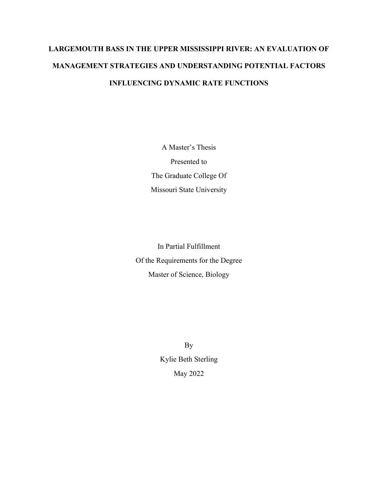# **LARGEMOUTH BASS IN THE UPPER MISSISSIPPI RIVER: AN EVALUATION OF MANAGEMENT STRATEGIES AND UNDERSTANDING POTENTIAL FACTORS INFLUENCING DYNAMIC RATE FUNCTIONS**

A Master's Thesis Presented to The Graduate College Of Missouri State University

In Partial Fulfillment Of the Requirements for the Degree Master of Science, Biology

> By Kylie Beth Sterling May 2022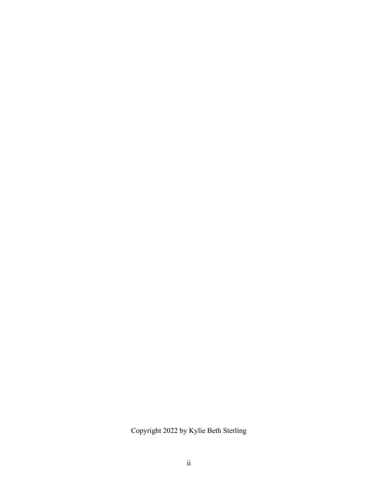Copyright 2022 by Kylie Beth Sterling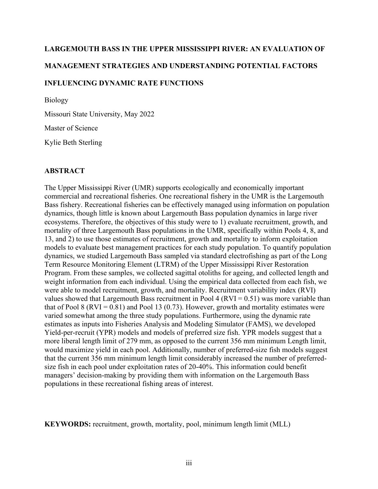# **LARGEMOUTH BASS IN THE UPPER MISSISSIPPI RIVER: AN EVALUATION OF MANAGEMENT STRATEGIES AND UNDERSTANDING POTENTIAL FACTORS INFLUENCING DYNAMIC RATE FUNCTIONS**

Biology

Missouri State University, May 2022

Master of Science

Kylie Beth Sterling

# **ABSTRACT**

The Upper Mississippi River (UMR) supports ecologically and economically important commercial and recreational fisheries. One recreational fishery in the UMR is the Largemouth Bass fishery. Recreational fisheries can be effectively managed using information on population dynamics, though little is known about Largemouth Bass population dynamics in large river ecosystems. Therefore, the objectives of this study were to 1) evaluate recruitment, growth, and mortality of three Largemouth Bass populations in the UMR, specifically within Pools 4, 8, and 13, and 2) to use those estimates of recruitment, growth and mortality to inform exploitation models to evaluate best management practices for each study population. To quantify population dynamics, we studied Largemouth Bass sampled via standard electrofishing as part of the Long Term Resource Monitoring Element (LTRM) of the Upper Mississippi River Restoration Program. From these samples, we collected sagittal otoliths for ageing, and collected length and weight information from each individual. Using the empirical data collected from each fish, we were able to model recruitment, growth, and mortality. Recruitment variability index (RVI) values showed that Largemouth Bass recruitment in Pool 4 ( $RVI = 0.51$ ) was more variable than that of Pool 8 (RVI =  $0.81$ ) and Pool 13 (0.73). However, growth and mortality estimates were varied somewhat among the three study populations. Furthermore, using the dynamic rate estimates as inputs into Fisheries Analysis and Modeling Simulator (FAMS), we developed Yield-per-recruit (YPR) models and models of preferred size fish. YPR models suggest that a more liberal length limit of 279 mm, as opposed to the current 356 mm minimum Length limit, would maximize yield in each pool. Additionally, number of preferred-size fish models suggest that the current 356 mm minimum length limit considerably increased the number of preferredsize fish in each pool under exploitation rates of 20-40%. This information could benefit managers' decision-making by providing them with information on the Largemouth Bass populations in these recreational fishing areas of interest.

**KEYWORDS:** recruitment, growth, mortality, pool, minimum length limit (MLL)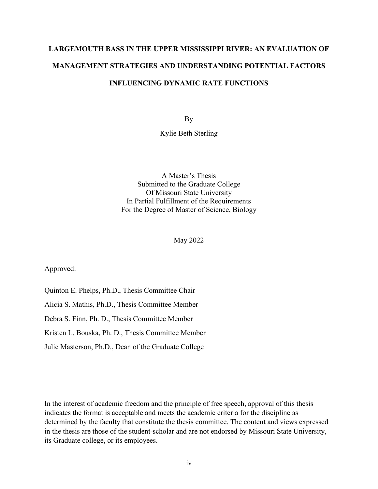# **LARGEMOUTH BASS IN THE UPPER MISSISSIPPI RIVER: AN EVALUATION OF MANAGEMENT STRATEGIES AND UNDERSTANDING POTENTIAL FACTORS INFLUENCING DYNAMIC RATE FUNCTIONS**

By

Kylie Beth Sterling

A Master's Thesis Submitted to the Graduate College Of Missouri State University In Partial Fulfillment of the Requirements For the Degree of Master of Science, Biology

May 2022

Approved:

Quinton E. Phelps, Ph.D., Thesis Committee Chair

Alicia S. Mathis, Ph.D., Thesis Committee Member

Debra S. Finn, Ph. D., Thesis Committee Member

Kristen L. Bouska, Ph. D., Thesis Committee Member

Julie Masterson, Ph.D., Dean of the Graduate College

In the interest of academic freedom and the principle of free speech, approval of this thesis indicates the format is acceptable and meets the academic criteria for the discipline as determined by the faculty that constitute the thesis committee. The content and views expressed in the thesis are those of the student-scholar and are not endorsed by Missouri State University, its Graduate college, or its employees.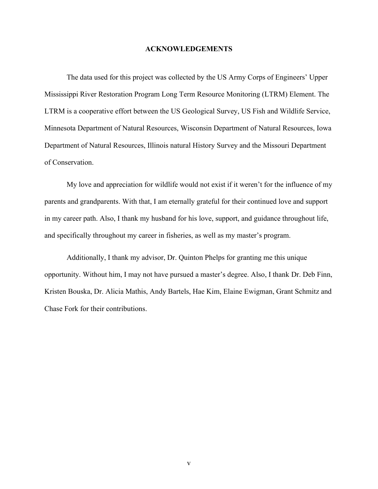## **ACKNOWLEDGEMENTS**

The data used for this project was collected by the US Army Corps of Engineers' Upper Mississippi River Restoration Program Long Term Resource Monitoring (LTRM) Element. The LTRM is a cooperative effort between the US Geological Survey, US Fish and Wildlife Service, Minnesota Department of Natural Resources, Wisconsin Department of Natural Resources, Iowa Department of Natural Resources, Illinois natural History Survey and the Missouri Department of Conservation.

My love and appreciation for wildlife would not exist if it weren't for the influence of my parents and grandparents. With that, I am eternally grateful for their continued love and support in my career path. Also, I thank my husband for his love, support, and guidance throughout life, and specifically throughout my career in fisheries, as well as my master's program.

Additionally, I thank my advisor, Dr. Quinton Phelps for granting me this unique opportunity. Without him, I may not have pursued a master's degree. Also, I thank Dr. Deb Finn, Kristen Bouska, Dr. Alicia Mathis, Andy Bartels, Hae Kim, Elaine Ewigman, Grant Schmitz and Chase Fork for their contributions.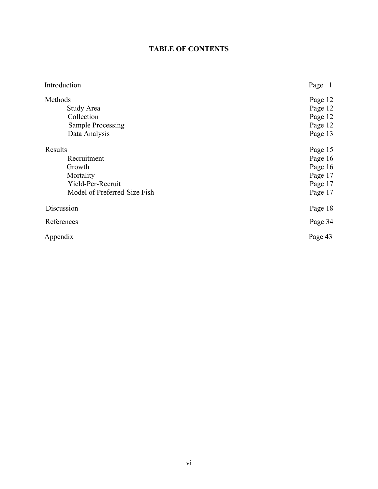# **TABLE OF CONTENTS**

| Introduction                              | Page 1             |
|-------------------------------------------|--------------------|
| Methods<br>Study Area                     | Page 12<br>Page 12 |
| Collection                                | Page 12            |
| <b>Sample Processing</b><br>Data Analysis | Page 12<br>Page 13 |
| Results                                   | Page 15            |
| Recruitment                               | Page 16            |
| Growth                                    | Page 16            |
| Mortality                                 | Page 17            |
| Yield-Per-Recruit                         | Page 17            |
| Model of Preferred-Size Fish              | Page 17            |
| Discussion                                | Page 18            |
| References                                | Page 34            |
| Appendix                                  | Page 43            |
|                                           |                    |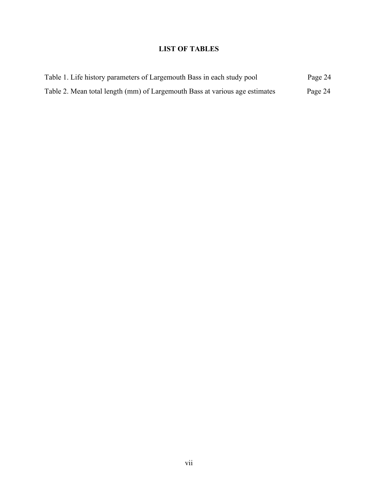# **LIST OF TABLES**

| Table 1. Life history parameters of Largemouth Bass in each study pool      | Page 24 |
|-----------------------------------------------------------------------------|---------|
| Table 2. Mean total length (mm) of Largemouth Bass at various age estimates | Page 24 |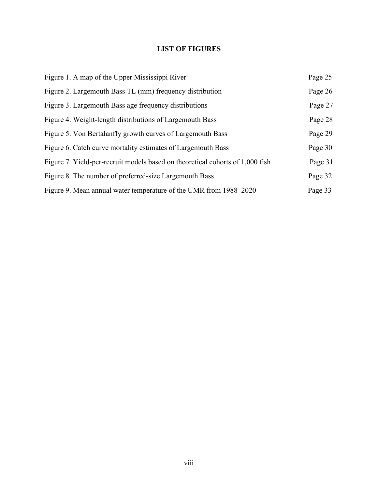# **LIST OF FIGURES**

| Figure 1. A map of the Upper Mississippi River                                | Page 25 |
|-------------------------------------------------------------------------------|---------|
| Figure 2. Largemouth Bass TL (mm) frequency distribution                      | Page 26 |
| Figure 3. Largemouth Bass age frequency distributions                         | Page 27 |
| Figure 4. Weight-length distributions of Largemouth Bass                      | Page 28 |
| Figure 5. Von Bertalanffy growth curves of Largemouth Bass                    | Page 29 |
| Figure 6. Catch curve mortality estimates of Largemouth Bass                  | Page 30 |
| Figure 7. Yield-per-recruit models based on theoretical cohorts of 1,000 fish | Page 31 |
| Figure 8. The number of preferred-size Largemouth Bass                        | Page 32 |
| Figure 9. Mean annual water temperature of the UMR from 1988–2020             | Page 33 |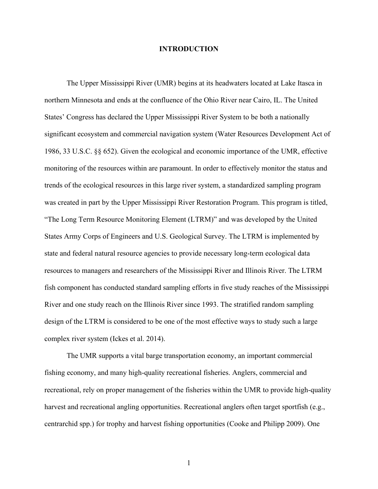# **INTRODUCTION**

The Upper Mississippi River (UMR) begins at its headwaters located at Lake Itasca in northern Minnesota and ends at the confluence of the Ohio River near Cairo, IL. The United States' Congress has declared the Upper Mississippi River System to be both a nationally significant ecosystem and commercial navigation system (Water Resources Development Act of 1986, 33 U.S.C. §§ 652). Given the ecological and economic importance of the UMR, effective monitoring of the resources within are paramount. In order to effectively monitor the status and trends of the ecological resources in this large river system, a standardized sampling program was created in part by the Upper Mississippi River Restoration Program. This program is titled, "The Long Term Resource Monitoring Element (LTRM)" and was developed by the United States Army Corps of Engineers and U.S. Geological Survey. The LTRM is implemented by state and federal natural resource agencies to provide necessary long-term ecological data resources to managers and researchers of the Mississippi River and Illinois River. The LTRM fish component has conducted standard sampling efforts in five study reaches of the Mississippi River and one study reach on the Illinois River since 1993. The stratified random sampling design of the LTRM is considered to be one of the most effective ways to study such a large complex river system (Ickes et al. 2014).

The UMR supports a vital barge transportation economy, an important commercial fishing economy, and many high-quality recreational fisheries. Anglers, commercial and recreational, rely on proper management of the fisheries within the UMR to provide high-quality harvest and recreational angling opportunities. Recreational anglers often target sportfish (e.g., centrarchid spp.) for trophy and harvest fishing opportunities (Cooke and Philipp 2009). One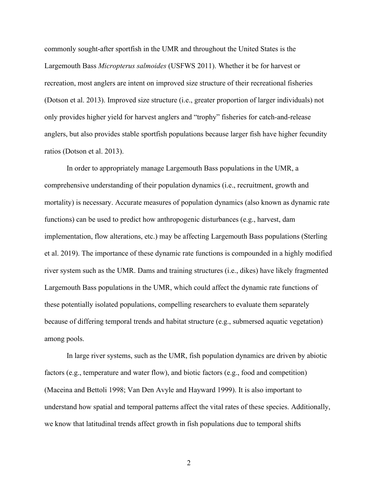commonly sought-after sportfish in the UMR and throughout the United States is the Largemouth Bass *Micropterus salmoides* (USFWS 2011). Whether it be for harvest or recreation, most anglers are intent on improved size structure of their recreational fisheries (Dotson et al. 2013). Improved size structure (i.e., greater proportion of larger individuals) not only provides higher yield for harvest anglers and "trophy" fisheries for catch-and-release anglers, but also provides stable sportfish populations because larger fish have higher fecundity ratios (Dotson et al. 2013).

In order to appropriately manage Largemouth Bass populations in the UMR, a comprehensive understanding of their population dynamics (i.e., recruitment, growth and mortality) is necessary. Accurate measures of population dynamics (also known as dynamic rate functions) can be used to predict how anthropogenic disturbances (e.g., harvest, dam implementation, flow alterations, etc.) may be affecting Largemouth Bass populations (Sterling et al. 2019). The importance of these dynamic rate functions is compounded in a highly modified river system such as the UMR. Dams and training structures (i.e., dikes) have likely fragmented Largemouth Bass populations in the UMR, which could affect the dynamic rate functions of these potentially isolated populations, compelling researchers to evaluate them separately because of differing temporal trends and habitat structure (e.g., submersed aquatic vegetation) among pools.

In large river systems, such as the UMR, fish population dynamics are driven by abiotic factors (e.g., temperature and water flow), and biotic factors (e.g., food and competition) (Maceina and Bettoli 1998; Van Den Avyle and Hayward 1999). It is also important to understand how spatial and temporal patterns affect the vital rates of these species. Additionally, we know that latitudinal trends affect growth in fish populations due to temporal shifts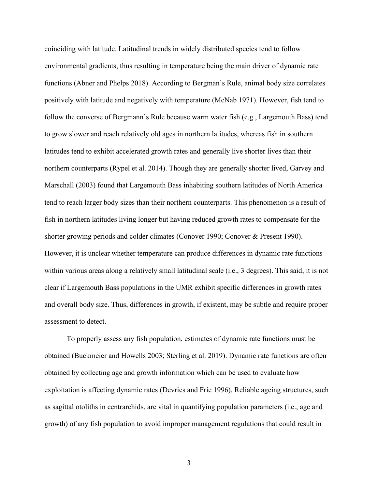coinciding with latitude. Latitudinal trends in widely distributed species tend to follow environmental gradients, thus resulting in temperature being the main driver of dynamic rate functions (Abner and Phelps 2018). According to Bergman's Rule, animal body size correlates positively with latitude and negatively with temperature (McNab 1971). However, fish tend to follow the converse of Bergmann's Rule because warm water fish (e.g., Largemouth Bass) tend to grow slower and reach relatively old ages in northern latitudes, whereas fish in southern latitudes tend to exhibit accelerated growth rates and generally live shorter lives than their northern counterparts (Rypel et al. 2014). Though they are generally shorter lived, Garvey and Marschall (2003) found that Largemouth Bass inhabiting southern latitudes of North America tend to reach larger body sizes than their northern counterparts. This phenomenon is a result of fish in northern latitudes living longer but having reduced growth rates to compensate for the shorter growing periods and colder climates (Conover 1990; Conover & Present 1990). However, it is unclear whether temperature can produce differences in dynamic rate functions within various areas along a relatively small latitudinal scale (i.e., 3 degrees). This said, it is not clear if Largemouth Bass populations in the UMR exhibit specific differences in growth rates and overall body size. Thus, differences in growth, if existent, may be subtle and require proper assessment to detect.

To properly assess any fish population, estimates of dynamic rate functions must be obtained (Buckmeier and Howells 2003; Sterling et al. 2019). Dynamic rate functions are often obtained by collecting age and growth information which can be used to evaluate how exploitation is affecting dynamic rates (Devries and Frie 1996). Reliable ageing structures, such as sagittal otoliths in centrarchids, are vital in quantifying population parameters (i.e., age and growth) of any fish population to avoid improper management regulations that could result in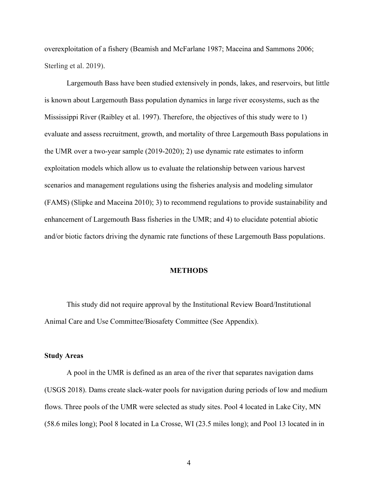overexploitation of a fishery (Beamish and McFarlane 1987; Maceina and Sammons 2006; Sterling et al. 2019).

Largemouth Bass have been studied extensively in ponds, lakes, and reservoirs, but little is known about Largemouth Bass population dynamics in large river ecosystems, such as the Mississippi River (Raibley et al. 1997). Therefore, the objectives of this study were to 1) evaluate and assess recruitment, growth, and mortality of three Largemouth Bass populations in the UMR over a two-year sample (2019-2020); 2) use dynamic rate estimates to inform exploitation models which allow us to evaluate the relationship between various harvest scenarios and management regulations using the fisheries analysis and modeling simulator (FAMS) (Slipke and Maceina 2010); 3) to recommend regulations to provide sustainability and enhancement of Largemouth Bass fisheries in the UMR; and 4) to elucidate potential abiotic and/or biotic factors driving the dynamic rate functions of these Largemouth Bass populations.

#### **METHODS**

This study did not require approval by the Institutional Review Board/Institutional Animal Care and Use Committee/Biosafety Committee (See Appendix).

#### **Study Areas**

A pool in the UMR is defined as an area of the river that separates navigation dams (USGS 2018). Dams create slack-water pools for navigation during periods of low and medium flows. Three pools of the UMR were selected as study sites. Pool 4 located in Lake City, MN (58.6 miles long); Pool 8 located in La Crosse, WI (23.5 miles long); and Pool 13 located in in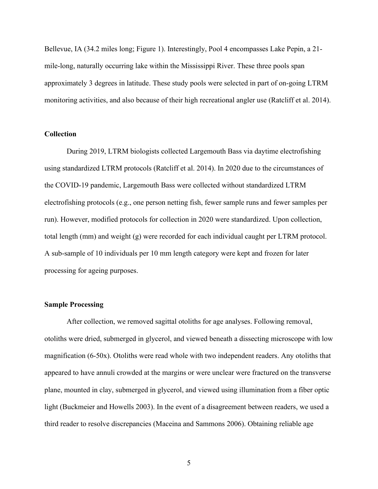Bellevue, IA (34.2 miles long; Figure 1). Interestingly, Pool 4 encompasses Lake Pepin, a 21 mile-long, naturally occurring lake within the Mississippi River. These three pools span approximately 3 degrees in latitude. These study pools were selected in part of on-going LTRM monitoring activities, and also because of their high recreational angler use (Ratcliff et al. 2014).

# **Collection**

During 2019, LTRM biologists collected Largemouth Bass via daytime electrofishing using standardized LTRM protocols (Ratcliff et al. 2014). In 2020 due to the circumstances of the COVID-19 pandemic, Largemouth Bass were collected without standardized LTRM electrofishing protocols (e.g., one person netting fish, fewer sample runs and fewer samples per run). However, modified protocols for collection in 2020 were standardized. Upon collection, total length (mm) and weight (g) were recorded for each individual caught per LTRM protocol. A sub-sample of 10 individuals per 10 mm length category were kept and frozen for later processing for ageing purposes.

# **Sample Processing**

After collection, we removed sagittal otoliths for age analyses. Following removal, otoliths were dried, submerged in glycerol, and viewed beneath a dissecting microscope with low magnification (6-50x). Otoliths were read whole with two independent readers. Any otoliths that appeared to have annuli crowded at the margins or were unclear were fractured on the transverse plane, mounted in clay, submerged in glycerol, and viewed using illumination from a fiber optic light (Buckmeier and Howells 2003). In the event of a disagreement between readers, we used a third reader to resolve discrepancies (Maceina and Sammons 2006). Obtaining reliable age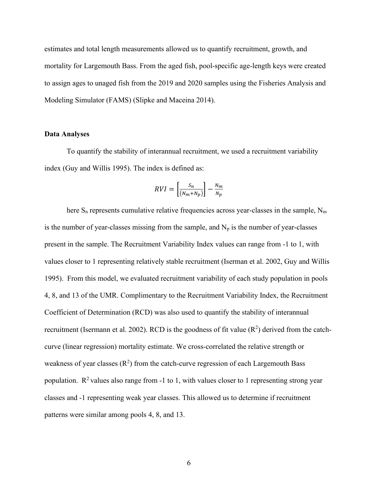estimates and total length measurements allowed us to quantify recruitment, growth, and mortality for Largemouth Bass. From the aged fish, pool-specific age-length keys were created to assign ages to unaged fish from the 2019 and 2020 samples using the Fisheries Analysis and Modeling Simulator (FAMS) (Slipke and Maceina 2014).

# **Data Analyses**

To quantify the stability of interannual recruitment, we used a recruitment variability index (Guy and Willis 1995). The index is defined as:

$$
RVI = \left[\frac{s_n}{(N_m + N_p)}\right] - \frac{N_m}{N_p}
$$

here  $S_n$  represents cumulative relative frequencies across year-classes in the sample,  $N_m$ is the number of year-classes missing from the sample, and  $N_p$  is the number of year-classes present in the sample. The Recruitment Variability Index values can range from -1 to 1, with values closer to 1 representing relatively stable recruitment (Iserman et al. 2002, Guy and Willis 1995). From this model, we evaluated recruitment variability of each study population in pools 4, 8, and 13 of the UMR. Complimentary to the Recruitment Variability Index, the Recruitment Coefficient of Determination (RCD) was also used to quantify the stability of interannual recruitment (Isermann et al. 2002). RCD is the goodness of fit value  $(R^2)$  derived from the catchcurve (linear regression) mortality estimate. We cross-correlated the relative strength or weakness of year classes  $(R^2)$  from the catch-curve regression of each Largemouth Bass population.  $\mathbb{R}^2$  values also range from -1 to 1, with values closer to 1 representing strong year classes and -1 representing weak year classes. This allowed us to determine if recruitment patterns were similar among pools 4, 8, and 13.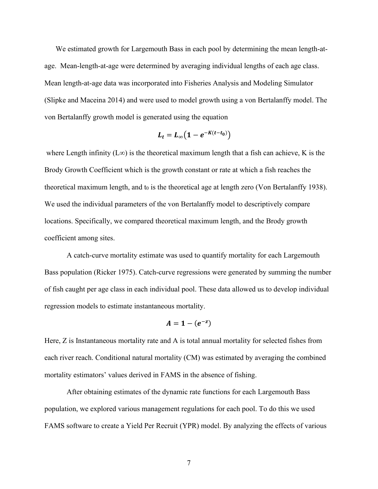We estimated growth for Largemouth Bass in each pool by determining the mean length-atage. Mean-length-at-age were determined by averaging individual lengths of each age class. Mean length-at-age data was incorporated into Fisheries Analysis and Modeling Simulator (Slipke and Maceina 2014) and were used to model growth using a von Bertalanffy model. The von Bertalanffy growth model is generated using the equation

$$
L_t = L_{\infty} \big( 1 - e^{-K(t-t_0)} \big)
$$

where Length infinity (L∞) is the theoretical maximum length that a fish can achieve, K is the Brody Growth Coefficient which is the growth constant or rate at which a fish reaches the theoretical maximum length, and  $t_0$  is the theoretical age at length zero (Von Bertalanffy 1938). We used the individual parameters of the von Bertalanffy model to descriptively compare locations. Specifically, we compared theoretical maximum length, and the Brody growth coefficient among sites.

A catch-curve mortality estimate was used to quantify mortality for each Largemouth Bass population (Ricker 1975). Catch-curve regressions were generated by summing the number of fish caught per age class in each individual pool. These data allowed us to develop individual regression models to estimate instantaneous mortality.

$$
A=1-(e^{-z})
$$

Here, Z is Instantaneous mortality rate and A is total annual mortality for selected fishes from each river reach. Conditional natural mortality (CM) was estimated by averaging the combined mortality estimators' values derived in FAMS in the absence of fishing.

After obtaining estimates of the dynamic rate functions for each Largemouth Bass population, we explored various management regulations for each pool. To do this we used FAMS software to create a Yield Per Recruit (YPR) model. By analyzing the effects of various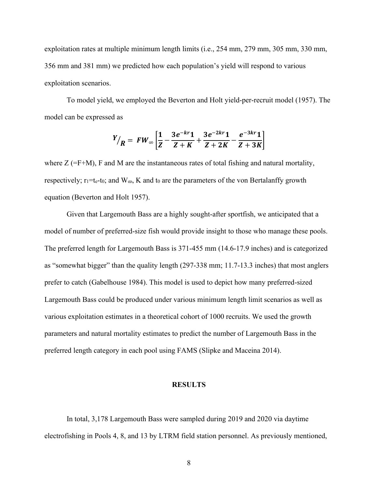exploitation rates at multiple minimum length limits (i.e., 254 mm, 279 mm, 305 mm, 330 mm, 356 mm and 381 mm) we predicted how each population's yield will respond to various exploitation scenarios.

To model yield, we employed the Beverton and Holt yield-per-recruit model (1957). The model can be expressed as

$$
Y/{R} = FW \propto \left[\frac{1}{Z} - \frac{3e^{-kr}1}{Z+K} + \frac{3e^{-2kr}1}{Z+2K} - \frac{e^{-3kr}1}{Z+3K}\right]
$$

where  $Z = F + M$ , F and M are the instantaneous rates of total fishing and natural mortality, respectively;  $r_1=t_e-t_0$ ; and  $W_{\infty}$ , K and  $t_0$  are the parameters of the von Bertalanffy growth equation (Beverton and Holt 1957).

Given that Largemouth Bass are a highly sought-after sportfish, we anticipated that a model of number of preferred-size fish would provide insight to those who manage these pools. The preferred length for Largemouth Bass is 371-455 mm (14.6-17.9 inches) and is categorized as "somewhat bigger" than the quality length (297-338 mm; 11.7-13.3 inches) that most anglers prefer to catch (Gabelhouse 1984). This model is used to depict how many preferred-sized Largemouth Bass could be produced under various minimum length limit scenarios as well as various exploitation estimates in a theoretical cohort of 1000 recruits. We used the growth parameters and natural mortality estimates to predict the number of Largemouth Bass in the preferred length category in each pool using FAMS (Slipke and Maceina 2014).

## **RESULTS**

In total, 3,178 Largemouth Bass were sampled during 2019 and 2020 via daytime electrofishing in Pools 4, 8, and 13 by LTRM field station personnel. As previously mentioned,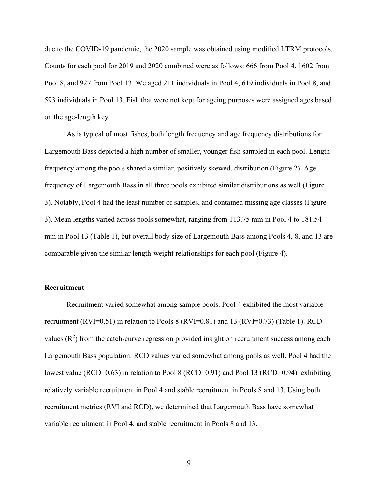due to the COVID-19 pandemic, the 2020 sample was obtained using modified LTRM protocols. Counts for each pool for 2019 and 2020 combined were as follows: 666 from Pool 4, 1602 from Pool 8, and 927 from Pool 13. We aged 211 individuals in Pool 4, 619 individuals in Pool 8, and 593 individuals in Pool 13. Fish that were not kept for ageing purposes were assigned ages based on the age-length key.

As is typical of most fishes, both length frequency and age frequency distributions for Largemouth Bass depicted a high number of smaller, younger fish sampled in each pool. Length frequency among the pools shared a similar, positively skewed, distribution (Figure 2). Age frequency of Largemouth Bass in all three pools exhibited similar distributions as well (Figure 3). Notably, Pool 4 had the least number of samples, and contained missing age classes (Figure 3). Mean lengths varied across pools somewhat, ranging from 113.75 mm in Pool 4 to 181.54 mm in Pool 13 (Table 1), but overall body size of Largemouth Bass among Pools 4, 8, and 13 are comparable given the similar length-weight relationships for each pool (Figure 4).

## **Recruitment**

Recruitment varied somewhat among sample pools. Pool 4 exhibited the most variable recruitment (RVI=0.51) in relation to Pools 8 (RVI=0.81) and 13 (RVI=0.73) (Table 1). RCD values  $(R^2)$  from the catch-curve regression provided insight on recruitment success among each Largemouth Bass population. RCD values varied somewhat among pools as well. Pool 4 had the lowest value (RCD=0.63) in relation to Pool 8 (RCD=0.91) and Pool 13 (RCD=0.94), exhibiting relatively variable recruitment in Pool 4 and stable recruitment in Pools 8 and 13. Using both recruitment metrics (RVI and RCD), we determined that Largemouth Bass have somewhat variable recruitment in Pool 4, and stable recruitment in Pools 8 and 13.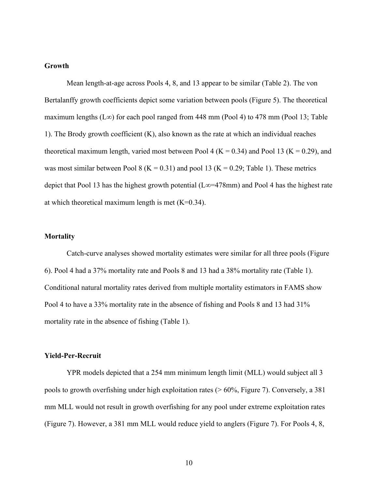# **Growth**

Mean length-at-age across Pools 4, 8, and 13 appear to be similar (Table 2). The von Bertalanffy growth coefficients depict some variation between pools (Figure 5). The theoretical maximum lengths (L∞) for each pool ranged from 448 mm (Pool 4) to 478 mm (Pool 13; Table 1). The Brody growth coefficient (K), also known as the rate at which an individual reaches theoretical maximum length, varied most between Pool 4 ( $K = 0.34$ ) and Pool 13 ( $K = 0.29$ ), and was most similar between Pool 8 ( $K = 0.31$ ) and pool 13 ( $K = 0.29$ ; Table 1). These metrics depict that Pool 13 has the highest growth potential (L∞=478mm) and Pool 4 has the highest rate at which theoretical maximum length is met  $(K=0.34)$ .

# **Mortality**

Catch-curve analyses showed mortality estimates were similar for all three pools (Figure 6). Pool 4 had a 37% mortality rate and Pools 8 and 13 had a 38% mortality rate (Table 1). Conditional natural mortality rates derived from multiple mortality estimators in FAMS show Pool 4 to have a 33% mortality rate in the absence of fishing and Pools 8 and 13 had 31% mortality rate in the absence of fishing (Table 1).

## **Yield-Per-Recruit**

YPR models depicted that a 254 mm minimum length limit (MLL) would subject all 3 pools to growth overfishing under high exploitation rates (> 60%, Figure 7). Conversely, a 381 mm MLL would not result in growth overfishing for any pool under extreme exploitation rates (Figure 7). However, a 381 mm MLL would reduce yield to anglers (Figure 7). For Pools 4, 8,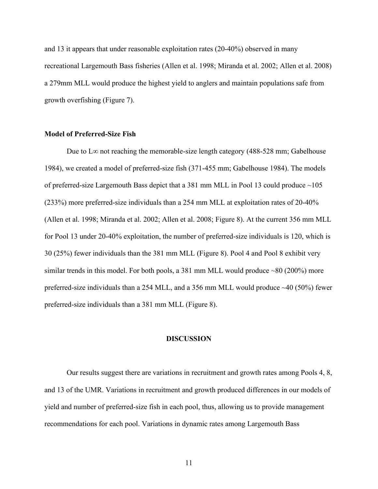and 13 it appears that under reasonable exploitation rates (20-40%) observed in many recreational Largemouth Bass fisheries (Allen et al. 1998; Miranda et al. 2002; Allen et al. 2008) a 279mm MLL would produce the highest yield to anglers and maintain populations safe from growth overfishing (Figure 7).

## **Model of Preferred-Size Fish**

Due to L∞ not reaching the memorable-size length category (488-528 mm; Gabelhouse 1984), we created a model of preferred-size fish (371-455 mm; Gabelhouse 1984). The models of preferred-size Largemouth Bass depict that a 381 mm MLL in Pool 13 could produce ~105 (233%) more preferred-size individuals than a 254 mm MLL at exploitation rates of 20-40% (Allen et al. 1998; Miranda et al. 2002; Allen et al. 2008; Figure 8). At the current 356 mm MLL for Pool 13 under 20-40% exploitation, the number of preferred-size individuals is 120, which is 30 (25%) fewer individuals than the 381 mm MLL (Figure 8). Pool 4 and Pool 8 exhibit very similar trends in this model. For both pools, a 381 mm MLL would produce  $\sim 80$  (200%) more preferred-size individuals than a 254 MLL, and a 356 mm MLL would produce ~40 (50%) fewer preferred-size individuals than a 381 mm MLL (Figure 8).

#### **DISCUSSION**

Our results suggest there are variations in recruitment and growth rates among Pools 4, 8, and 13 of the UMR. Variations in recruitment and growth produced differences in our models of yield and number of preferred-size fish in each pool, thus, allowing us to provide management recommendations for each pool. Variations in dynamic rates among Largemouth Bass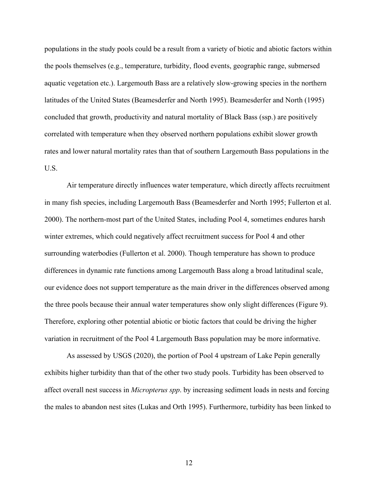populations in the study pools could be a result from a variety of biotic and abiotic factors within the pools themselves (e.g., temperature, turbidity, flood events, geographic range, submersed aquatic vegetation etc.). Largemouth Bass are a relatively slow-growing species in the northern latitudes of the United States (Beamesderfer and North 1995). Beamesderfer and North (1995) concluded that growth, productivity and natural mortality of Black Bass (ssp.) are positively correlated with temperature when they observed northern populations exhibit slower growth rates and lower natural mortality rates than that of southern Largemouth Bass populations in the U.S.

Air temperature directly influences water temperature, which directly affects recruitment in many fish species, including Largemouth Bass (Beamesderfer and North 1995; Fullerton et al. 2000). The northern-most part of the United States, including Pool 4, sometimes endures harsh winter extremes, which could negatively affect recruitment success for Pool 4 and other surrounding waterbodies (Fullerton et al. 2000). Though temperature has shown to produce differences in dynamic rate functions among Largemouth Bass along a broad latitudinal scale, our evidence does not support temperature as the main driver in the differences observed among the three pools because their annual water temperatures show only slight differences (Figure 9). Therefore, exploring other potential abiotic or biotic factors that could be driving the higher variation in recruitment of the Pool 4 Largemouth Bass population may be more informative.

As assessed by USGS (2020), the portion of Pool 4 upstream of Lake Pepin generally exhibits higher turbidity than that of the other two study pools. Turbidity has been observed to affect overall nest success in *Micropterus spp*. by increasing sediment loads in nests and forcing the males to abandon nest sites (Lukas and Orth 1995). Furthermore, turbidity has been linked to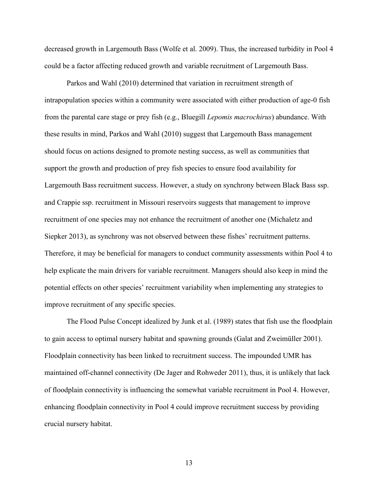decreased growth in Largemouth Bass (Wolfe et al. 2009). Thus, the increased turbidity in Pool 4 could be a factor affecting reduced growth and variable recruitment of Largemouth Bass.

Parkos and Wahl (2010) determined that variation in recruitment strength of intrapopulation species within a community were associated with either production of age-0 fish from the parental care stage or prey fish (e.g., Bluegill *Lepomis macrochirus*) abundance. With these results in mind, Parkos and Wahl (2010) suggest that Largemouth Bass management should focus on actions designed to promote nesting success, as well as communities that support the growth and production of prey fish species to ensure food availability for Largemouth Bass recruitment success. However, a study on synchrony between Black Bass ssp. and Crappie ssp. recruitment in Missouri reservoirs suggests that management to improve recruitment of one species may not enhance the recruitment of another one (Michaletz and Siepker 2013), as synchrony was not observed between these fishes' recruitment patterns. Therefore, it may be beneficial for managers to conduct community assessments within Pool 4 to help explicate the main drivers for variable recruitment. Managers should also keep in mind the potential effects on other species' recruitment variability when implementing any strategies to improve recruitment of any specific species.

The Flood Pulse Concept idealized by Junk et al. (1989) states that fish use the floodplain to gain access to optimal nursery habitat and spawning grounds (Galat and Zweimüller 2001). Floodplain connectivity has been linked to recruitment success. The impounded UMR has maintained off-channel connectivity (De Jager and Rohweder 2011), thus, it is unlikely that lack of floodplain connectivity is influencing the somewhat variable recruitment in Pool 4. However, enhancing floodplain connectivity in Pool 4 could improve recruitment success by providing crucial nursery habitat.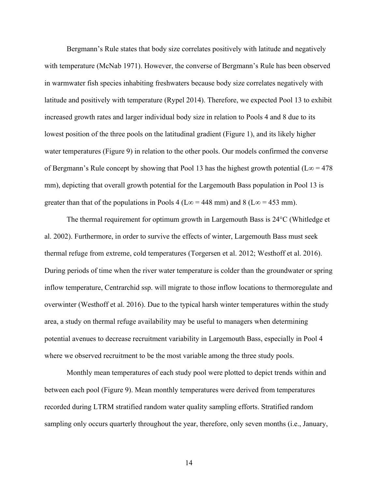Bergmann's Rule states that body size correlates positively with latitude and negatively with temperature (McNab 1971). However, the converse of Bergmann's Rule has been observed in warmwater fish species inhabiting freshwaters because body size correlates negatively with latitude and positively with temperature (Rypel 2014). Therefore, we expected Pool 13 to exhibit increased growth rates and larger individual body size in relation to Pools 4 and 8 due to its lowest position of the three pools on the latitudinal gradient (Figure 1), and its likely higher water temperatures (Figure 9) in relation to the other pools. Our models confirmed the converse of Bergmann's Rule concept by showing that Pool 13 has the highest growth potential (L $\infty$  = 478 mm), depicting that overall growth potential for the Largemouth Bass population in Pool 13 is greater than that of the populations in Pools 4 (L∞ = 448 mm) and 8 (L∞ = 453 mm).

The thermal requirement for optimum growth in Largemouth Bass is 24°C (Whitledge et al. 2002). Furthermore, in order to survive the effects of winter, Largemouth Bass must seek thermal refuge from extreme, cold temperatures (Torgersen et al. 2012; Westhoff et al. 2016). During periods of time when the river water temperature is colder than the groundwater or spring inflow temperature, Centrarchid ssp. will migrate to those inflow locations to thermoregulate and overwinter (Westhoff et al. 2016). Due to the typical harsh winter temperatures within the study area, a study on thermal refuge availability may be useful to managers when determining potential avenues to decrease recruitment variability in Largemouth Bass, especially in Pool 4 where we observed recruitment to be the most variable among the three study pools.

Monthly mean temperatures of each study pool were plotted to depict trends within and between each pool (Figure 9). Mean monthly temperatures were derived from temperatures recorded during LTRM stratified random water quality sampling efforts. Stratified random sampling only occurs quarterly throughout the year, therefore, only seven months (i.e., January,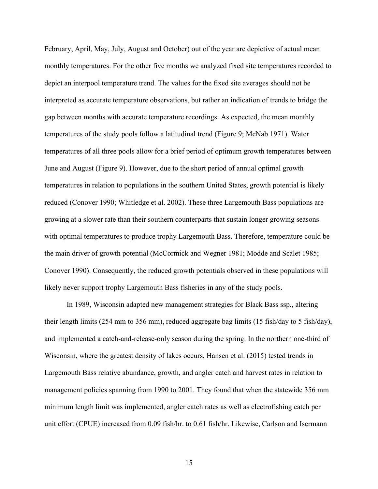February, April, May, July, August and October) out of the year are depictive of actual mean monthly temperatures. For the other five months we analyzed fixed site temperatures recorded to depict an interpool temperature trend. The values for the fixed site averages should not be interpreted as accurate temperature observations, but rather an indication of trends to bridge the gap between months with accurate temperature recordings. As expected, the mean monthly temperatures of the study pools follow a latitudinal trend (Figure 9; McNab 1971). Water temperatures of all three pools allow for a brief period of optimum growth temperatures between June and August (Figure 9). However, due to the short period of annual optimal growth temperatures in relation to populations in the southern United States, growth potential is likely reduced (Conover 1990; Whitledge et al. 2002). These three Largemouth Bass populations are growing at a slower rate than their southern counterparts that sustain longer growing seasons with optimal temperatures to produce trophy Largemouth Bass. Therefore, temperature could be the main driver of growth potential (McCormick and Wegner 1981; Modde and Scalet 1985; Conover 1990). Consequently, the reduced growth potentials observed in these populations will likely never support trophy Largemouth Bass fisheries in any of the study pools.

In 1989, Wisconsin adapted new management strategies for Black Bass ssp., altering their length limits (254 mm to 356 mm), reduced aggregate bag limits (15 fish/day to 5 fish/day), and implemented a catch-and-release-only season during the spring. In the northern one-third of Wisconsin, where the greatest density of lakes occurs, Hansen et al. (2015) tested trends in Largemouth Bass relative abundance, growth, and angler catch and harvest rates in relation to management policies spanning from 1990 to 2001. They found that when the statewide 356 mm minimum length limit was implemented, angler catch rates as well as electrofishing catch per unit effort (CPUE) increased from 0.09 fish/hr. to 0.61 fish/hr. Likewise, Carlson and Isermann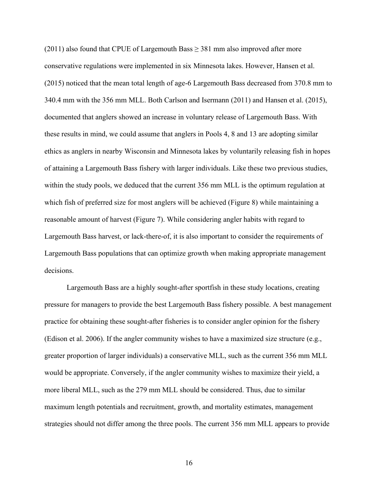$(2011)$  also found that CPUE of Largemouth Bass  $\geq$  381 mm also improved after more conservative regulations were implemented in six Minnesota lakes. However, Hansen et al. (2015) noticed that the mean total length of age-6 Largemouth Bass decreased from 370.8 mm to 340.4 mm with the 356 mm MLL. Both Carlson and Isermann (2011) and Hansen et al. (2015), documented that anglers showed an increase in voluntary release of Largemouth Bass. With these results in mind, we could assume that anglers in Pools 4, 8 and 13 are adopting similar ethics as anglers in nearby Wisconsin and Minnesota lakes by voluntarily releasing fish in hopes of attaining a Largemouth Bass fishery with larger individuals. Like these two previous studies, within the study pools, we deduced that the current 356 mm MLL is the optimum regulation at which fish of preferred size for most anglers will be achieved (Figure 8) while maintaining a reasonable amount of harvest (Figure 7). While considering angler habits with regard to Largemouth Bass harvest, or lack-there-of, it is also important to consider the requirements of Largemouth Bass populations that can optimize growth when making appropriate management decisions.

Largemouth Bass are a highly sought-after sportfish in these study locations, creating pressure for managers to provide the best Largemouth Bass fishery possible. A best management practice for obtaining these sought-after fisheries is to consider angler opinion for the fishery (Edison et al. 2006). If the angler community wishes to have a maximized size structure (e.g., greater proportion of larger individuals) a conservative MLL, such as the current 356 mm MLL would be appropriate. Conversely, if the angler community wishes to maximize their yield, a more liberal MLL, such as the 279 mm MLL should be considered. Thus, due to similar maximum length potentials and recruitment, growth, and mortality estimates, management strategies should not differ among the three pools. The current 356 mm MLL appears to provide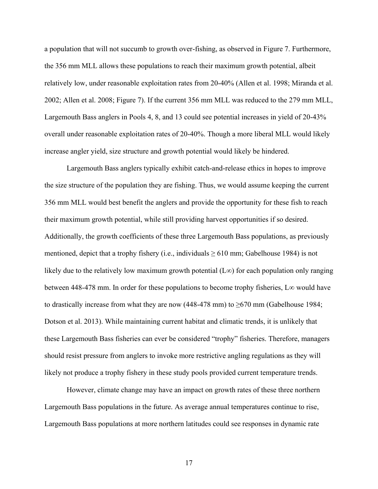a population that will not succumb to growth over-fishing, as observed in Figure 7. Furthermore, the 356 mm MLL allows these populations to reach their maximum growth potential, albeit relatively low, under reasonable exploitation rates from 20-40% (Allen et al. 1998; Miranda et al. 2002; Allen et al. 2008; Figure 7). If the current 356 mm MLL was reduced to the 279 mm MLL, Largemouth Bass anglers in Pools 4, 8, and 13 could see potential increases in yield of 20-43% overall under reasonable exploitation rates of 20-40%. Though a more liberal MLL would likely increase angler yield, size structure and growth potential would likely be hindered.

Largemouth Bass anglers typically exhibit catch-and-release ethics in hopes to improve the size structure of the population they are fishing. Thus, we would assume keeping the current 356 mm MLL would best benefit the anglers and provide the opportunity for these fish to reach their maximum growth potential, while still providing harvest opportunities if so desired. Additionally, the growth coefficients of these three Largemouth Bass populations, as previously mentioned, depict that a trophy fishery (i.e., individuals  $\geq 610$  mm; Gabelhouse 1984) is not likely due to the relatively low maximum growth potential (L∞) for each population only ranging between 448-478 mm. In order for these populations to become trophy fisheries, L∞ would have to drastically increase from what they are now (448-478 mm) to  $\geq 670$  mm (Gabelhouse 1984; Dotson et al. 2013). While maintaining current habitat and climatic trends, it is unlikely that these Largemouth Bass fisheries can ever be considered "trophy" fisheries. Therefore, managers should resist pressure from anglers to invoke more restrictive angling regulations as they will likely not produce a trophy fishery in these study pools provided current temperature trends.

However, climate change may have an impact on growth rates of these three northern Largemouth Bass populations in the future. As average annual temperatures continue to rise, Largemouth Bass populations at more northern latitudes could see responses in dynamic rate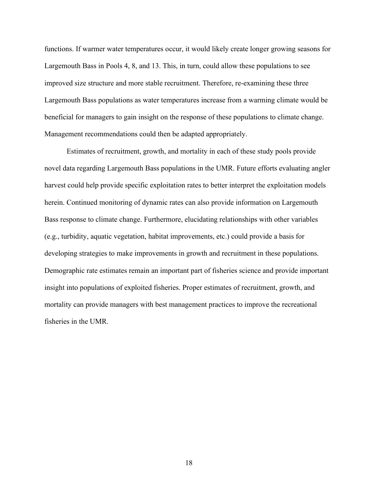functions. If warmer water temperatures occur, it would likely create longer growing seasons for Largemouth Bass in Pools 4, 8, and 13. This, in turn, could allow these populations to see improved size structure and more stable recruitment. Therefore, re-examining these three Largemouth Bass populations as water temperatures increase from a warming climate would be beneficial for managers to gain insight on the response of these populations to climate change. Management recommendations could then be adapted appropriately.

Estimates of recruitment, growth, and mortality in each of these study pools provide novel data regarding Largemouth Bass populations in the UMR. Future efforts evaluating angler harvest could help provide specific exploitation rates to better interpret the exploitation models herein. Continued monitoring of dynamic rates can also provide information on Largemouth Bass response to climate change. Furthermore, elucidating relationships with other variables (e.g., turbidity, aquatic vegetation, habitat improvements, etc.) could provide a basis for developing strategies to make improvements in growth and recruitment in these populations. Demographic rate estimates remain an important part of fisheries science and provide important insight into populations of exploited fisheries. Proper estimates of recruitment, growth, and mortality can provide managers with best management practices to improve the recreational fisheries in the UMR.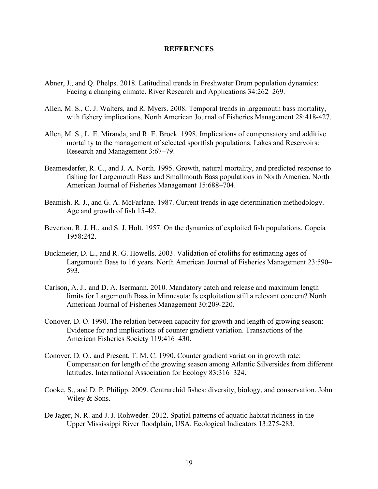# **REFERENCES**

- Abner, J., and Q. Phelps. 2018. Latitudinal trends in Freshwater Drum population dynamics: Facing a changing climate. River Research and Applications 34:262–269.
- Allen, M. S., C. J. Walters, and R. Myers. 2008. Temporal trends in largemouth bass mortality, with fishery implications. North American Journal of Fisheries Management 28:418-427.
- Allen, M. S., L. E. Miranda, and R. E. Brock. 1998. Implications of compensatory and additive mortality to the management of selected sportfish populations. Lakes and Reservoirs: Research and Management 3:67–79.
- Beamesderfer, R. C., and J. A. North. 1995. Growth, natural mortality, and predicted response to fishing for Largemouth Bass and Smallmouth Bass populations in North America. North American Journal of Fisheries Management 15:688–704.
- Beamish. R. J., and G. A. McFarlane. 1987. Current trends in age determination methodology. Age and growth of fish 15-42.
- Beverton, R. J. H., and S. J. Holt. 1957. On the dynamics of exploited fish populations. Copeia 1958:242.
- Buckmeier, D. L., and R. G. Howells. 2003. Validation of otoliths for estimating ages of Largemouth Bass to 16 years. North American Journal of Fisheries Management 23:590– 593.
- Carlson, A. J., and D. A. Isermann. 2010. Mandatory catch and release and maximum length limits for Largemouth Bass in Minnesota: Is exploitation still a relevant concern? North American Journal of Fisheries Management 30:209-220.
- Conover, D. O. 1990. The relation between capacity for growth and length of growing season: Evidence for and implications of counter gradient variation. Transactions of the American Fisheries Society 119:416–430.
- Conover, D. O., and Present, T. M. C. 1990. Counter gradient variation in growth rate: Compensation for length of the growing season among Atlantic Silversides from different latitudes. International Association for Ecology 83:316–324.
- Cooke, S., and D. P. Philipp. 2009. Centrarchid fishes: diversity, biology, and conservation. John Wiley & Sons.
- De Jager, N. R. and J. J. Rohweder. 2012. Spatial patterns of aquatic habitat richness in the Upper Mississippi River floodplain, USA. Ecological Indicators 13:275-283.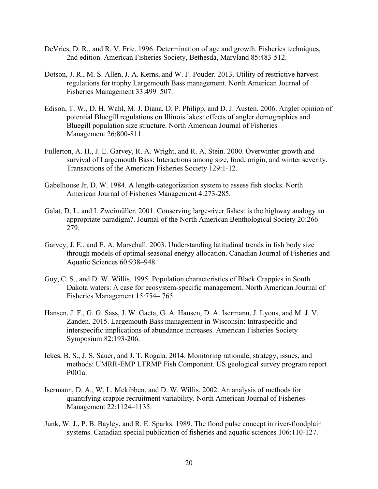- DeVries, D. R., and R. V. Frie. 1996. Determination of age and growth. Fisheries techniques, 2nd edition. American Fisheries Society, Bethesda, Maryland 85:483-512.
- Dotson, J. R., M. S. Allen, J. A. Kerns, and W. F. Pouder. 2013. Utility of restrictive harvest regulations for trophy Largemouth Bass management. North American Journal of Fisheries Management 33:499–507.
- Edison, T. W., D. H. Wahl, M. J. Diana, D. P. Philipp, and D. J. Austen. 2006. Angler opinion of potential Bluegill regulations on Illinois lakes: effects of angler demographics and Bluegill population size structure. North American Journal of Fisheries Management 26:800-811.
- Fullerton, A. H., J. E. Garvey, R. A. Wright, and R. A. Stein. 2000. Overwinter growth and survival of Largemouth Bass: Interactions among size, food, origin, and winter severity. Transactions of the American Fisheries Society 129:1-12.
- Gabelhouse Jr, D. W. 1984. A length‐categorization system to assess fish stocks. North American Journal of Fisheries Management 4:273-285.
- Galat, D. L. and I. Zweimüller. 2001. Conserving large-river fishes: is the highway analogy an appropriate paradigm?. Journal of the North American Benthological Society 20:266– 279.
- Garvey, J. E., and E. A. Marschall. 2003. Understanding latitudinal trends in fish body size through models of optimal seasonal energy allocation. Canadian Journal of Fisheries and Aquatic Sciences 60:938–948.
- Guy, C. S., and D. W. Willis. 1995. Population characteristics of Black Crappies in South Dakota waters: A case for ecosystem-specific management. North American Journal of Fisheries Management 15:754– 765.
- Hansen, J. F., G. G. Sass, J. W. Gaeta, G. A. Hansen, D. A. Isermann, J. Lyons, and M. J. V. Zanden. 2015. Largemouth Bass management in Wisconsin: Intraspecific and interspecific implications of abundance increases. American Fisheries Society Symposium 82:193-206.
- Ickes, B. S., J. S. Sauer, and J. T. Rogala. 2014. Monitoring rationale, strategy, issues, and methods: UMRR-EMP LTRMP Fish Component. US geological survey program report P001a.
- Isermann, D. A., W. L. Mckibben, and D. W. Willis. 2002. An analysis of methods for quantifying crappie recruitment variability. North American Journal of Fisheries Management 22:1124–1135.
- Junk, W. J., P. B. Bayley, and R. E. Sparks. 1989. The flood pulse concept in river-floodplain systems. Canadian special publication of fisheries and aquatic sciences 106:110-127.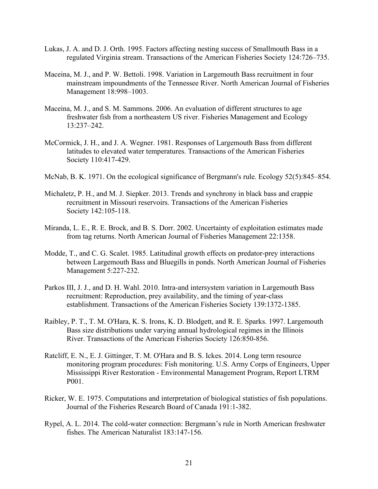- Lukas, J. A. and D. J. Orth. 1995. Factors affecting nesting success of Smallmouth Bass in a regulated Virginia stream. Transactions of the American Fisheries Society 124:726–735.
- Maceina, M. J., and P. W. Bettoli. 1998. Variation in Largemouth Bass recruitment in four mainstream impoundments of the Tennessee River. North American Journal of Fisheries Management 18:998–1003.
- Maceina, M. J., and S. M. Sammons. 2006. An evaluation of different structures to age freshwater fish from a northeastern US river. Fisheries Management and Ecology 13:237–242.
- McCormick, J. H., and J. A. Wegner. 1981. Responses of Largemouth Bass from different latitudes to elevated water temperatures. Transactions of the American Fisheries Society 110:417-429.
- McNab, B. K. 1971. On the ecological significance of Bergmann's rule. Ecology 52(5):845–854.
- Michaletz, P. H., and M. J. Siepker. 2013. Trends and synchrony in black bass and crappie recruitment in Missouri reservoirs. Transactions of the American Fisheries Society 142:105-118.
- Miranda, L. E., R. E. Brock, and B. S. Dorr. 2002. Uncertainty of exploitation estimates made from tag returns. North American Journal of Fisheries Management 22:1358.
- Modde, T., and C. G. Scalet. 1985. Latitudinal growth effects on predator-prey interactions between Largemouth Bass and Bluegills in ponds. North American Journal of Fisheries Management 5:227-232.
- Parkos III, J. J., and D. H. Wahl. 2010. Intra-and intersystem variation in Largemouth Bass recruitment: Reproduction, prey availability, and the timing of year-class establishment. Transactions of the American Fisheries Society 139:1372-1385.
- Raibley, P. T., T. M. O'Hara, K. S. Irons, K. D. Blodgett, and R. E. Sparks. 1997. Largemouth Bass size distributions under varying annual hydrological regimes in the Illinois River. Transactions of the American Fisheries Society 126:850-856.
- Ratcliff, E. N., E. J. Gittinger, T. M. O'Hara and B. S. Ickes. 2014. Long term resource monitoring program procedures: Fish monitoring. U.S. Army Corps of Engineers, Upper Mississippi River Restoration - Environmental Management Program, Report LTRM P001.
- Ricker, W. E. 1975. Computations and interpretation of biological statistics of fish populations. Journal of the Fisheries Research Board of Canada 191:1-382.
- Rypel, A. L. 2014. The cold-water connection: Bergmann's rule in North American freshwater fishes. The American Naturalist 183:147-156.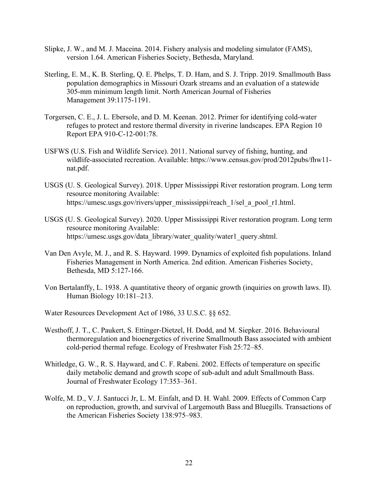- Slipke, J. W., and M. J. Maceina. 2014. Fishery analysis and modeling simulator (FAMS), version 1.64. American Fisheries Society, Bethesda, Maryland.
- Sterling, E. M., K. B. Sterling, Q. E. Phelps, T. D. Ham, and S. J. Tripp. 2019. Smallmouth Bass population demographics in Missouri Ozark streams and an evaluation of a statewide 305‐mm minimum length limit. North American Journal of Fisheries Management 39:1175-1191.
- Torgersen, C. E., J. L. Ebersole, and D. M. Keenan. 2012. Primer for identifying cold-water refuges to protect and restore thermal diversity in riverine landscapes. EPA Region 10 Report EPA 910-C-12-001:78.
- USFWS (U.S. Fish and Wildlife Service). 2011. National survey of fishing, hunting, and wildlife-associated recreation. Available: https://www.census.gov/prod/2012pubs/fhw11 nat.pdf.
- USGS (U. S. Geological Survey). 2018. Upper Mississippi River restoration program. Long term resource monitoring Available: https://umesc.usgs.gov/rivers/upper\_mississippi/reach\_1/sel\_a\_pool\_r1.html.
- USGS (U. S. Geological Survey). 2020. Upper Mississippi River restoration program. Long term resource monitoring Available: https://umesc.usgs.gov/data\_library/water\_quality/water1\_query.shtml.
- Van Den Avyle, M. J., and R. S. Hayward. 1999. Dynamics of exploited fish populations. Inland Fisheries Management in North America. 2nd edition. American Fisheries Society, Bethesda, MD 5:127-166.
- Von Bertalanffy, L. 1938. A quantitative theory of organic growth (inquiries on growth laws. II). Human Biology 10:181–213.
- Water Resources Development Act of 1986, 33 U.S.C. §§ 652.
- Westhoff, J. T., C. Paukert, S. Ettinger-Dietzel, H. Dodd, and M. Siepker. 2016. Behavioural thermoregulation and bioenergetics of riverine Smallmouth Bass associated with ambient cold-period thermal refuge. Ecology of Freshwater Fish 25:72–85.
- Whitledge, G. W., R. S. Hayward, and C. F. Rabeni. 2002. Effects of temperature on specific daily metabolic demand and growth scope of sub-adult and adult Smallmouth Bass. Journal of Freshwater Ecology 17:353–361.
- Wolfe, M. D., V. J. Santucci Jr, L. M. Einfalt, and D. H. Wahl. 2009. Effects of Common Carp on reproduction, growth, and survival of Largemouth Bass and Bluegills. Transactions of the American Fisheries Society 138:975–983.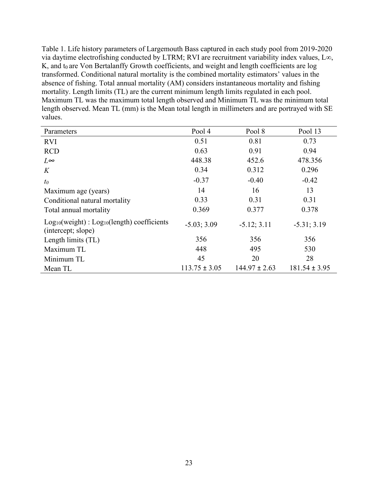Table 1. Life history parameters of Largemouth Bass captured in each study pool from 2019-2020 via daytime electrofishing conducted by LTRM; RVI are recruitment variability index values, L∞,  $K$ , and  $t_0$  are Von Bertalanffy Growth coefficients, and weight and length coefficients are log transformed. Conditional natural mortality is the combined mortality estimators' values in the absence of fishing. Total annual mortality (AM) considers instantaneous mortality and fishing mortality. Length limits (TL) are the current minimum length limits regulated in each pool. Maximum TL was the maximum total length observed and Minimum TL was the minimum total length observed. Mean TL (mm) is the Mean total length in millimeters and are portrayed with SE values.

| Parameters                                                                 | Pool 4            | Pool 8            | Pool 13           |
|----------------------------------------------------------------------------|-------------------|-------------------|-------------------|
| <b>RVI</b>                                                                 | 0.51              | 0.81              | 0.73              |
| <b>RCD</b>                                                                 | 0.63              | 0.91              | 0.94              |
| $L^{\infty}$                                                               | 448.38            | 452.6             | 478.356           |
| K                                                                          | 0.34              | 0.312             | 0.296             |
| $t_0$                                                                      | $-0.37$           | $-0.40$           | $-0.42$           |
| Maximum age (years)                                                        | 14                | 16                | 13                |
| Conditional natural mortality                                              | 0.33              | 0.31              | 0.31              |
| Total annual mortality                                                     | 0.369             | 0.377             | 0.378             |
| $Log_{10}(weight)$ : $Log_{10}(length)$ coefficients<br>(intercept; slope) | $-5.03; 3.09$     | $-5.12; 3.11$     | $-5.31; 3.19$     |
| Length limits (TL)                                                         | 356               | 356               | 356               |
| Maximum TL                                                                 | 448               | 495               | 530               |
| Minimum TL                                                                 | 45                | 20                | 28                |
| Mean TL                                                                    | $113.75 \pm 3.05$ | $144.97 \pm 2.63$ | $181.54 \pm 3.95$ |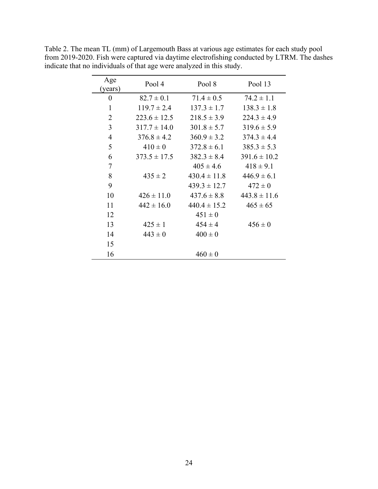| Age<br>(years) | Pool 4           | Pool 8           | Pool 13          |
|----------------|------------------|------------------|------------------|
| 0              | $82.7 \pm 0.1$   | $71.4 \pm 0.5$   | $74.2 \pm 1.1$   |
| $\mathbf{1}$   | $119.7 \pm 2.4$  | $137.3 \pm 1.7$  | $138.3 \pm 1.8$  |
| $\overline{2}$ | $223.6 \pm 12.5$ | $218.5 \pm 3.9$  | $224.3 \pm 4.9$  |
| 3              | $317.7 \pm 14.0$ | $301.8 \pm 5.7$  | $319.6 \pm 5.9$  |
| $\overline{4}$ | $376.8 \pm 4.2$  | $360.9 \pm 3.2$  | $374.3 \pm 4.4$  |
| 5              | $410 \pm 0$      | $372.8 \pm 6.1$  | $385.3 \pm 5.3$  |
| 6              | $373.5 \pm 17.5$ | $382.3 \pm 8.4$  | $391.6 \pm 10.2$ |
| $\overline{7}$ |                  | $405 \pm 4.6$    | $418 \pm 9.1$    |
| 8              | $435 \pm 2$      | $430.4 \pm 11.8$ | $446.9 \pm 6.1$  |
| 9              |                  | $439.3 \pm 12.7$ | $472 \pm 0$      |
| 10             | $426 \pm 11.0$   | $437.6 \pm 8.8$  | $443.8 \pm 11.6$ |
| 11             | $442 \pm 16.0$   | $440.4 \pm 15.2$ | $465 \pm 65$     |
| 12             |                  | $451 \pm 0$      |                  |
| 13             | $425 \pm 1$      | $454 \pm 4$      | $456 \pm 0$      |
| 14             | $443 \pm 0$      | $400 \pm 0$      |                  |
| 15             |                  |                  |                  |
| 16             |                  | $460 \pm 0$      |                  |

Table 2. The mean TL (mm) of Largemouth Bass at various age estimates for each study pool from 2019-2020. Fish were captured via daytime electrofishing conducted by LTRM. The dashes indicate that no individuals of that age were analyzed in this study.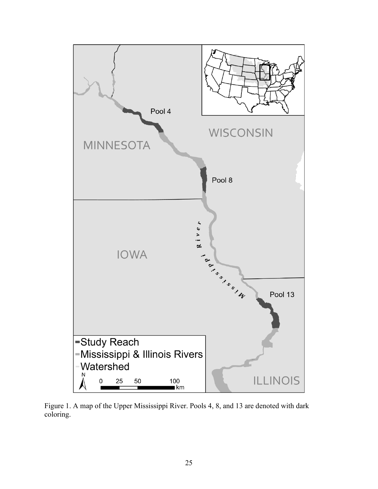

Figure 1. A map of the Upper Mississippi River. Pools 4, 8, and 13 are denoted with dark coloring.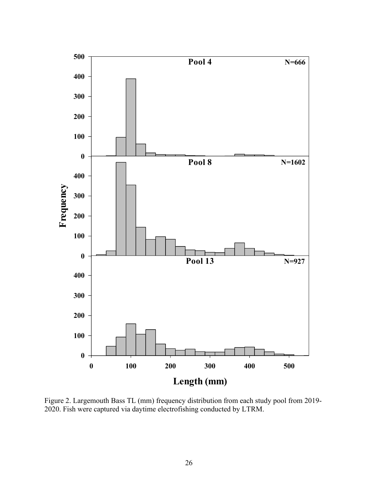

Figure 2. Largemouth Bass TL (mm) frequency distribution from each study pool from 2019- 2020. Fish were captured via daytime electrofishing conducted by LTRM.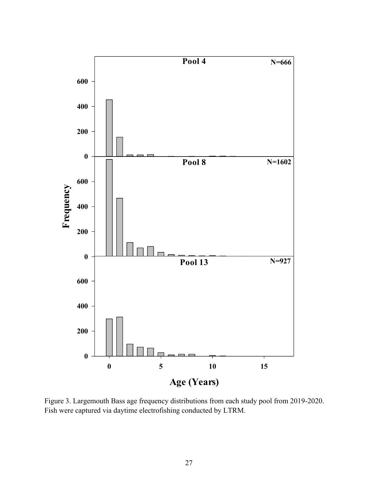

Figure 3. Largemouth Bass age frequency distributions from each study pool from 2019-2020. Fish were captured via daytime electrofishing conducted by LTRM.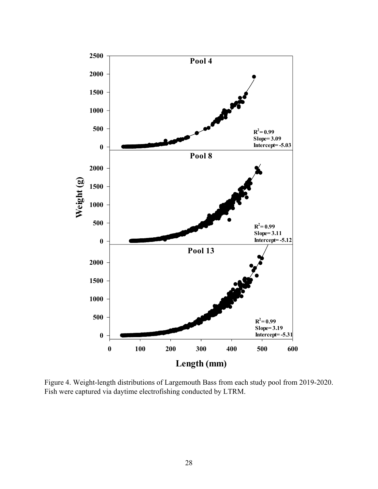

Figure 4. Weight-length distributions of Largemouth Bass from each study pool from 2019-2020. Fish were captured via daytime electrofishing conducted by LTRM.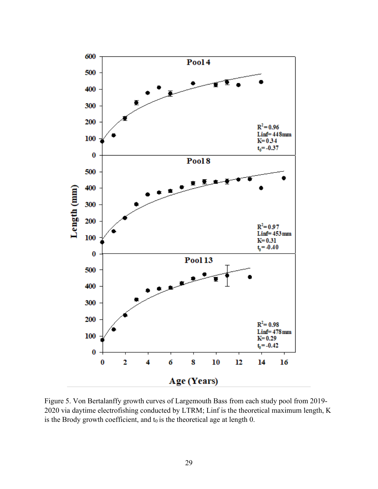

Figure 5. Von Bertalanffy growth curves of Largemouth Bass from each study pool from 2019- 2020 via daytime electrofishing conducted by LTRM; Linf is the theoretical maximum length, K is the Brody growth coefficient, and  $t_0$  is the theoretical age at length 0.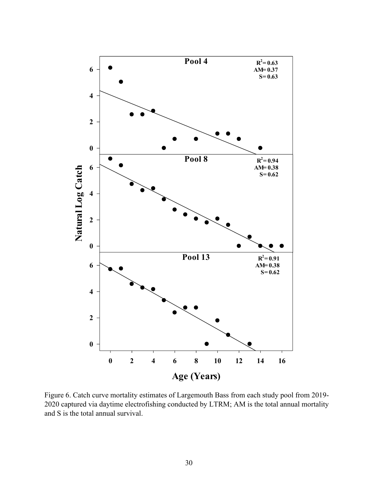

Figure 6. Catch curve mortality estimates of Largemouth Bass from each study pool from 2019- 2020 captured via daytime electrofishing conducted by LTRM; AM is the total annual mortality and S is the total annual survival.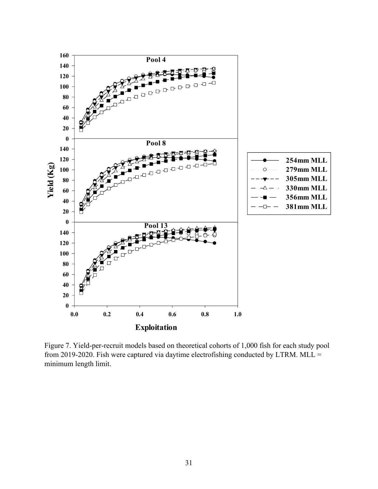

Figure 7. Yield-per-recruit models based on theoretical cohorts of 1,000 fish for each study pool from 2019-2020. Fish were captured via daytime electrofishing conducted by LTRM. MLL = minimum length limit.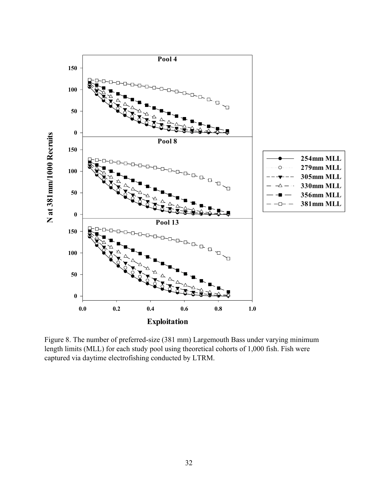

Figure 8. The number of preferred-size (381 mm) Largemouth Bass under varying minimum length limits (MLL) for each study pool using theoretical cohorts of 1,000 fish. Fish were captured via daytime electrofishing conducted by LTRM.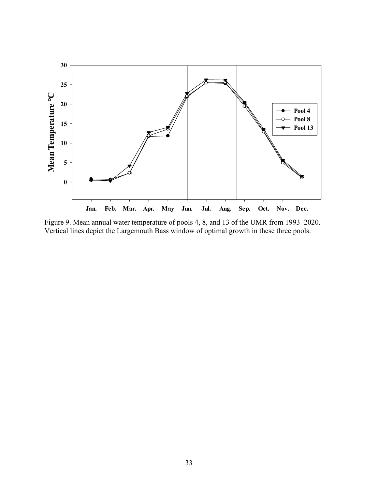

Figure 9. Mean annual water temperature of pools 4, 8, and 13 of the UMR from 1993–2020. Vertical lines depict the Largemouth Bass window of optimal growth in these three pools.